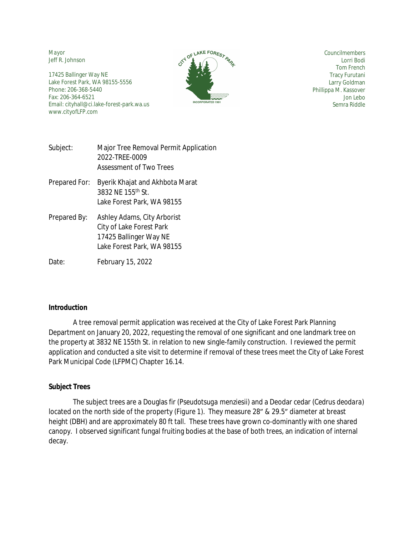*Mayor* Jeff R. Johnson

17425 Ballinger Way NE Lake Forest Park, WA 98155-5556 Phone: 206-368-5440 Fax: 206-364-6521 Email: cityhall@ci.lake-forest-park.wa.us www.cityofLFP.com



*Councilmembers* Lorri Bodi Tom French Tracy Furutani Larry Goldman Phillippa M. Kassover Jon Lebo Semra Riddle

| Subject: | Major Tree Removal Permit Application |
|----------|---------------------------------------|
|          | 2022-TREE-0009                        |
|          | Assessment of Two Trees               |

- Prepared For: Byerik Khajat and Akhbota Marat 3832 NE 155th St. Lake Forest Park, WA 98155
- Prepared By: Ashley Adams, City Arborist City of Lake Forest Park 17425 Ballinger Way NE Lake Forest Park, WA 98155

Date: February 15, 2022

## **Introduction**

A tree removal permit application was received at the City of Lake Forest Park Planning Department on January 20, 2022, requesting the removal of one significant and one landmark tree on the property at 3832 NE 155th St. in relation to new single-family construction. I reviewed the permit application and conducted a site visit to determine if removal of these trees meet the City of Lake Forest Park Municipal Code (LFPMC) Chapter 16.14.

## **Subject Trees**

The subject trees are a Douglas fir (*Pseudotsuga menziesii*) and a Deodar cedar (*Cedrus deodara*) located on the north side of the property (*Figure 1*). They measure 28" & 29.5" diameter at breast height (DBH) and are approximately 80 ft tall. These trees have grown co-dominantly with one shared canopy. I observed significant fungal fruiting bodies at the base of both trees, an indication of internal decay.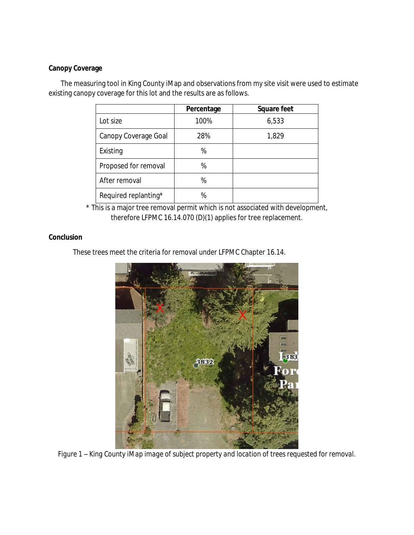## **Canopy Coverage**

The measuring tool in King County iMap and observations from my site visit were used to estimate existing canopy coverage for this lot and the results are as follows.

|                      | Percentage | Square feet |
|----------------------|------------|-------------|
| Lot size             | 100%       | 6,533       |
| Canopy Coverage Goal | 28%        | 1,829       |
| Existing             | %          |             |
| Proposed for removal | %          |             |
| After removal        | %          |             |
| Required replanting* | %          |             |

\* This is a major tree removal permit which is not associated with development, therefore LFPMC 16.14.070 (D)(1) applies for tree replacement.

## **Conclusion**

These trees meet the criteria for removal under LFPMC Chapter 16.14.



*Figure 1 – King County iMap image of subject property and location of trees requested for removal.*